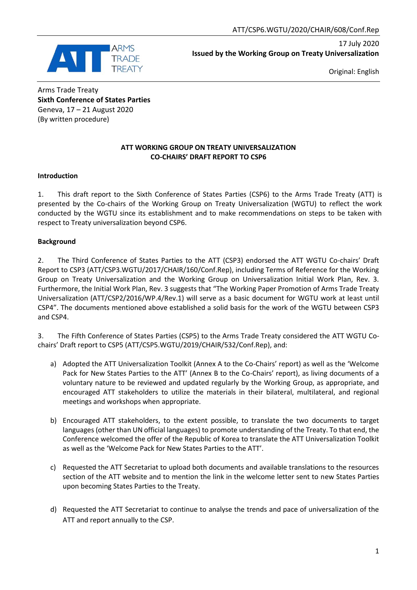

17 July 2020 **Issued by the Working Group on Treaty Universalization**

Original: English

Arms Trade Treaty **Sixth Conference of States Parties** Geneva, 17 – 21 August 2020 (By written procedure)

#### **ATT WORKING GROUP ON TREATY UNIVERSALIZATION CO-CHAIRS' DRAFT REPORT TO CSP6**

## **Introduction**

1. This draft report to the Sixth Conference of States Parties (CSP6) to the Arms Trade Treaty (ATT) is presented by the Co-chairs of the Working Group on Treaty Universalization (WGTU) to reflect the work conducted by the WGTU since its establishment and to make recommendations on steps to be taken with respect to Treaty universalization beyond CSP6.

## **Background**

2. The Third Conference of States Parties to the ATT (CSP3) endorsed the ATT WGTU Co-chairs' Draft Report to CSP3 (ATT/CSP3.WGTU/2017/CHAIR/160/Conf.Rep), including Terms of Reference for the Working Group on Treaty Universalization and the Working Group on Universalization Initial Work Plan, Rev. 3. Furthermore, the Initial Work Plan, Rev. 3 suggests that "The Working Paper Promotion of Arms Trade Treaty Universalization (ATT/CSP2/2016/WP.4/Rev.1) will serve as a basic document for WGTU work at least until CSP4". The documents mentioned above established a solid basis for the work of the WGTU between CSP3 and CSP4.

3. The Fifth Conference of States Parties (CSP5) to the Arms Trade Treaty considered the ATT WGTU Cochairs' Draft report to CSP5 (ATT/CSP5.WGTU/2019/CHAIR/532/Conf.Rep), and:

- a) Adopted the ATT Universalization Toolkit (Annex A to the Co-Chairs' report) as well as the 'Welcome Pack for New States Parties to the ATT' (Annex B to the Co-Chairs' report), as living documents of a voluntary nature to be reviewed and updated regularly by the Working Group, as appropriate, and encouraged ATT stakeholders to utilize the materials in their bilateral, multilateral, and regional meetings and workshops when appropriate.
- b) Encouraged ATT stakeholders, to the extent possible, to translate the two documents to target languages (other than UN official languages) to promote understanding of the Treaty. To that end, the Conference welcomed the offer of the Republic of Korea to translate the ATT Universalization Toolkit as well as the 'Welcome Pack for New States Parties to the ATT'.
- c) Requested the ATT Secretariat to upload both documents and available translations to the resources section of the ATT website and to mention the link in the welcome letter sent to new States Parties upon becoming States Parties to the Treaty.
- d) Requested the ATT Secretariat to continue to analyse the trends and pace of universalization of the ATT and report annually to the CSP.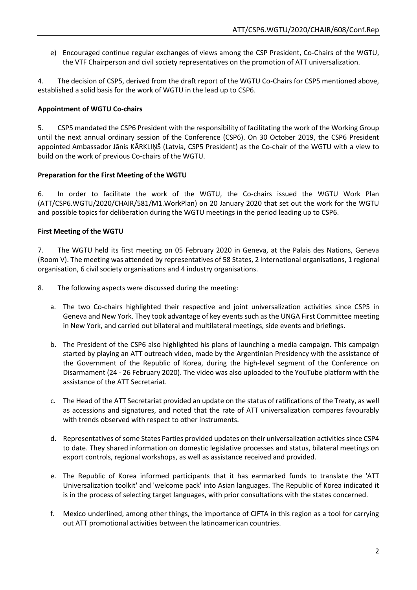e) Encouraged continue regular exchanges of views among the CSP President, Co-Chairs of the WGTU, the VTF Chairperson and civil society representatives on the promotion of ATT universalization.

4. The decision of CSP5, derived from the draft report of the WGTU Co-Chairs for CSP5 mentioned above, established a solid basis for the work of WGTU in the lead up to CSP6.

## **Appointment of WGTU Co-chairs**

5. CSP5 mandated the CSP6 President with the responsibility of facilitating the work of the Working Group until the next annual ordinary session of the Conference (CSP6). On 30 October 2019, the CSP6 President appointed Ambassador Jānis KĀRKLIŅŠ (Latvia, CSP5 President) as the Co-chair of the WGTU with a view to build on the work of previous Co-chairs of the WGTU.

## **Preparation for the First Meeting of the WGTU**

6. In order to facilitate the work of the WGTU, the Co-chairs issued the WGTU Work Plan (ATT/CSP6.WGTU/2020/CHAIR/581/M1.WorkPlan) on 20 January 2020 that set out the work for the WGTU and possible topics for deliberation during the WGTU meetings in the period leading up to CSP6.

## **First Meeting of the WGTU**

7. The WGTU held its first meeting on 05 February 2020 in Geneva, at the Palais des Nations, Geneva (Room V). The meeting was attended by representatives of 58 States, 2 international organisations, 1 regional organisation, 6 civil society organisations and 4 industry organisations.

8. The following aspects were discussed during the meeting:

- a. The two Co-chairs highlighted their respective and joint universalization activities since CSP5 in Geneva and New York. They took advantage of key events such as the UNGA First Committee meeting in New York, and carried out bilateral and multilateral meetings, side events and briefings.
- b. The President of the CSP6 also highlighted his plans of launching a media campaign. This campaign started by playing an ATT outreach video, made by the Argentinian Presidency with the assistance of the Government of the Republic of Korea, during the high-level segment of the Conference on Disarmament (24 - 26 February 2020). The video was also uploaded to the YouTube platform with the assistance of the ATT Secretariat.
- c. The Head of the ATT Secretariat provided an update on the status of ratifications of the Treaty, as well as accessions and signatures, and noted that the rate of ATT universalization compares favourably with trends observed with respect to other instruments.
- d. Representatives of some States Parties provided updates on their universalization activities since CSP4 to date. They shared information on domestic legislative processes and status, bilateral meetings on export controls, regional workshops, as well as assistance received and provided.
- e. The Republic of Korea informed participants that it has earmarked funds to translate the 'ATT Universalization toolkit' and 'welcome pack' into Asian languages. The Republic of Korea indicated it is in the process of selecting target languages, with prior consultations with the states concerned.
- f. Mexico underlined, among other things, the importance of CIFTA in this region as a tool for carrying out ATT promotional activities between the latinoamerican countries.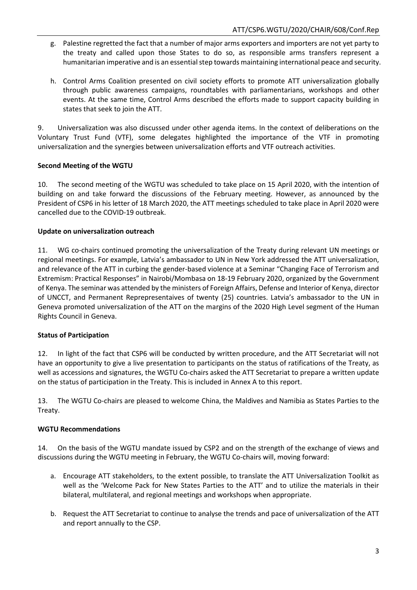- g. Palestine regretted the fact that a number of major arms exporters and importers are not yet party to the treaty and called upon those States to do so, as responsible arms transfers represent a humanitarian imperative and is an essential step towards maintaining international peace and security.
- h. Control Arms Coalition presented on civil society efforts to promote ATT universalization globally through public awareness campaigns, roundtables with parliamentarians, workshops and other events. At the same time, Control Arms described the efforts made to support capacity building in states that seek to join the ATT.

9. Universalization was also discussed under other agenda items. In the context of deliberations on the Voluntary Trust Fund (VTF), some delegates highlighted the importance of the VTF in promoting universalization and the synergies between universalization efforts and VTF outreach activities.

# **Second Meeting of the WGTU**

10. The second meeting of the WGTU was scheduled to take place on 15 April 2020, with the intention of building on and take forward the discussions of the February meeting. However, as announced by the President of CSP6 in his letter of 18 March 2020, the ATT meetings scheduled to take place in April 2020 were cancelled due to the COVID-19 outbreak.

# **Update on universalization outreach**

11. WG co-chairs continued promoting the universalization of the Treaty during relevant UN meetings or regional meetings. For example, Latvia's ambassador to UN in New York addressed the ATT universalization, and relevance of the ATT in curbing the gender-based violence at a Seminar "Changing Face of Terrorism and Extremism: Practical Responses" in Nairobi/Mombasa on 18-19 February 2020, organized by the Government of Kenya. The seminar was attended by the ministers of Foreign Affairs, Defense and Interior of Kenya, director of UNCCT, and Permanent Reprepresentaives of twenty (25) countries. Latvia's ambassador to the UN in Geneva promoted universalization of the ATT on the margins of the 2020 High Level segment of the Human Rights Council in Geneva.

# **Status of Participation**

12. In light of the fact that CSP6 will be conducted by written procedure, and the ATT Secretariat will not have an opportunity to give a live presentation to participants on the status of ratifications of the Treaty, as well as accessions and signatures, the WGTU Co-chairs asked the ATT Secretariat to prepare a written update on the status of participation in the Treaty. This is included in Annex A to this report.

13. The WGTU Co-chairs are pleased to welcome China, the Maldives and Namibia as States Parties to the Treaty.

# **WGTU Recommendations**

14. On the basis of the WGTU mandate issued by CSP2 and on the strength of the exchange of views and discussions during the WGTU meeting in February, the WGTU Co-chairs will, moving forward:

- a. Encourage ATT stakeholders, to the extent possible, to translate the ATT Universalization Toolkit as well as the 'Welcome Pack for New States Parties to the ATT' and to utilize the materials in their bilateral, multilateral, and regional meetings and workshops when appropriate.
- b. Request the ATT Secretariat to continue to analyse the trends and pace of universalization of the ATT and report annually to the CSP.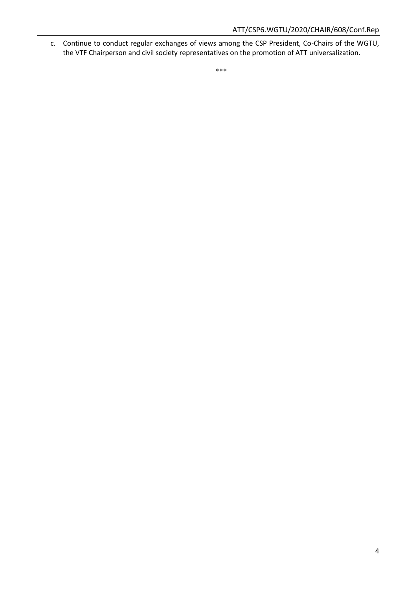c. Continue to conduct regular exchanges of views among the CSP President, Co-Chairs of the WGTU, the VTF Chairperson and civil society representatives on the promotion of ATT universalization.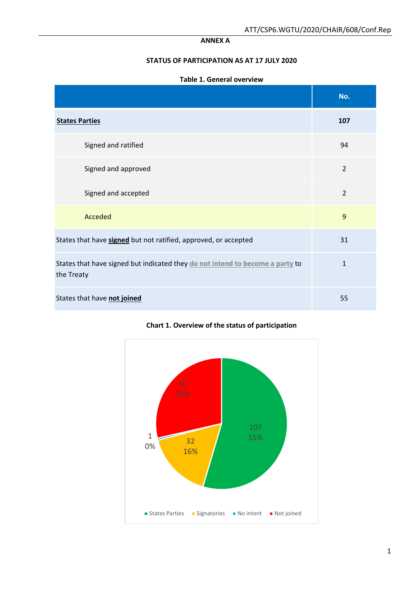#### **ANNEX A**

## **STATUS OF PARTICIPATION AS AT 17 JULY 2020**

#### **Table 1. General overview**

|                                                                                             | No.            |
|---------------------------------------------------------------------------------------------|----------------|
| <b>States Parties</b>                                                                       | 107            |
| Signed and ratified                                                                         | 94             |
| Signed and approved                                                                         | $\overline{2}$ |
| Signed and accepted                                                                         | $\overline{2}$ |
| Acceded                                                                                     | 9              |
| States that have signed but not ratified, approved, or accepted                             | 31             |
| States that have signed but indicated they do not intend to become a party to<br>the Treaty | $\mathbf{1}$   |
| States that have not joined                                                                 | 55             |



## **Chart 1. Overview of the status of participation**